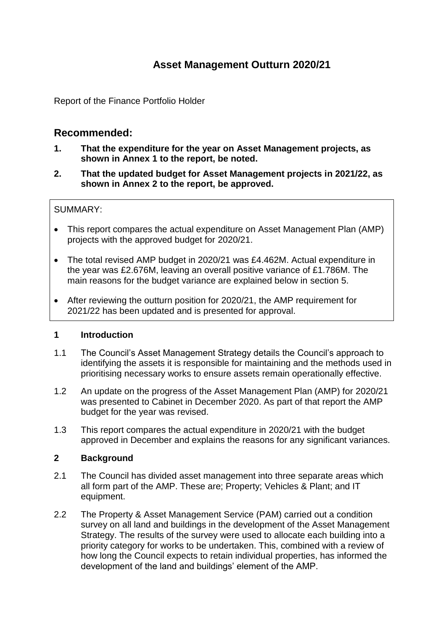# **Asset Management Outturn 2020/21**

Report of the Finance Portfolio Holder

## **Recommended:**

- **1. That the expenditure for the year on Asset Management projects, as shown in Annex 1 to the report, be noted.**
- **2. That the updated budget for Asset Management projects in 2021/22, as shown in Annex 2 to the report, be approved.**

#### SUMMARY:

- This report compares the actual expenditure on Asset Management Plan (AMP) projects with the approved budget for 2020/21.
- The total revised AMP budget in 2020/21 was £4.462M. Actual expenditure in the year was £2.676M, leaving an overall positive variance of £1.786M. The main reasons for the budget variance are explained below in section 5.
- After reviewing the outturn position for 2020/21, the AMP requirement for 2021/22 has been updated and is presented for approval.

#### **1 Introduction**

- 1.1 The Council's Asset Management Strategy details the Council's approach to identifying the assets it is responsible for maintaining and the methods used in prioritising necessary works to ensure assets remain operationally effective.
- 1.2 An update on the progress of the Asset Management Plan (AMP) for 2020/21 was presented to Cabinet in December 2020. As part of that report the AMP budget for the year was revised.
- 1.3 This report compares the actual expenditure in 2020/21 with the budget approved in December and explains the reasons for any significant variances.

#### **2 Background**

- 2.1 The Council has divided asset management into three separate areas which all form part of the AMP. These are; Property; Vehicles & Plant; and IT equipment.
- 2.2 The Property & Asset Management Service (PAM) carried out a condition survey on all land and buildings in the development of the Asset Management Strategy. The results of the survey were used to allocate each building into a priority category for works to be undertaken. This, combined with a review of how long the Council expects to retain individual properties, has informed the development of the land and buildings' element of the AMP.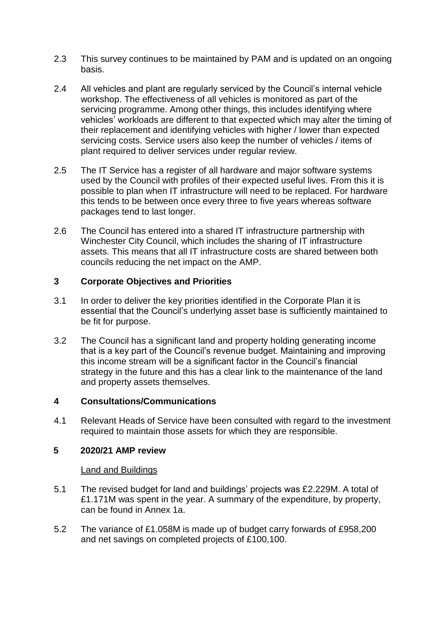- 2.3 This survey continues to be maintained by PAM and is updated on an ongoing basis.
- 2.4 All vehicles and plant are regularly serviced by the Council's internal vehicle workshop. The effectiveness of all vehicles is monitored as part of the servicing programme. Among other things, this includes identifying where vehicles' workloads are different to that expected which may alter the timing of their replacement and identifying vehicles with higher / lower than expected servicing costs. Service users also keep the number of vehicles / items of plant required to deliver services under regular review.
- 2.5 The IT Service has a register of all hardware and major software systems used by the Council with profiles of their expected useful lives. From this it is possible to plan when IT infrastructure will need to be replaced. For hardware this tends to be between once every three to five years whereas software packages tend to last longer.
- 2.6 The Council has entered into a shared IT infrastructure partnership with Winchester City Council, which includes the sharing of IT infrastructure assets. This means that all IT infrastructure costs are shared between both councils reducing the net impact on the AMP.

#### **3 Corporate Objectives and Priorities**

- 3.1 In order to deliver the key priorities identified in the Corporate Plan it is essential that the Council's underlying asset base is sufficiently maintained to be fit for purpose.
- 3.2 The Council has a significant land and property holding generating income that is a key part of the Council's revenue budget. Maintaining and improving this income stream will be a significant factor in the Council's financial strategy in the future and this has a clear link to the maintenance of the land and property assets themselves.

#### **4 Consultations/Communications**

4.1 Relevant Heads of Service have been consulted with regard to the investment required to maintain those assets for which they are responsible.

#### **5 2020/21 AMP review**

#### Land and Buildings

- 5.1 The revised budget for land and buildings' projects was £2.229M. A total of £1.171M was spent in the year. A summary of the expenditure, by property, can be found in Annex 1a.
- 5.2 The variance of £1.058M is made up of budget carry forwards of £958,200 and net savings on completed projects of £100,100.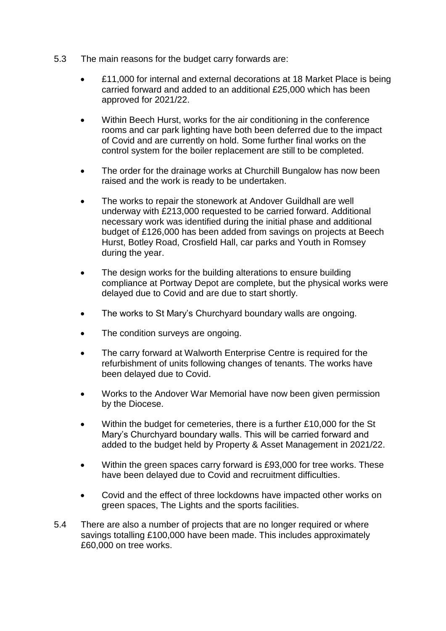- 5.3 The main reasons for the budget carry forwards are:
	- £11,000 for internal and external decorations at 18 Market Place is being carried forward and added to an additional £25,000 which has been approved for 2021/22.
	- Within Beech Hurst, works for the air conditioning in the conference rooms and car park lighting have both been deferred due to the impact of Covid and are currently on hold. Some further final works on the control system for the boiler replacement are still to be completed.
	- The order for the drainage works at Churchill Bungalow has now been raised and the work is ready to be undertaken.
	- The works to repair the stonework at Andover Guildhall are well underway with £213,000 requested to be carried forward. Additional necessary work was identified during the initial phase and additional budget of £126,000 has been added from savings on projects at Beech Hurst, Botley Road, Crosfield Hall, car parks and Youth in Romsey during the year.
	- The design works for the building alterations to ensure building compliance at Portway Depot are complete, but the physical works were delayed due to Covid and are due to start shortly.
	- The works to St Mary's Churchyard boundary walls are ongoing.
	- The condition surveys are ongoing.
	- The carry forward at Walworth Enterprise Centre is required for the refurbishment of units following changes of tenants. The works have been delayed due to Covid.
	- Works to the Andover War Memorial have now been given permission by the Diocese.
	- Within the budget for cemeteries, there is a further £10,000 for the St Mary's Churchyard boundary walls. This will be carried forward and added to the budget held by Property & Asset Management in 2021/22.
	- Within the green spaces carry forward is £93,000 for tree works. These have been delayed due to Covid and recruitment difficulties.
	- Covid and the effect of three lockdowns have impacted other works on green spaces, The Lights and the sports facilities.
- 5.4 There are also a number of projects that are no longer required or where savings totalling £100,000 have been made. This includes approximately £60,000 on tree works.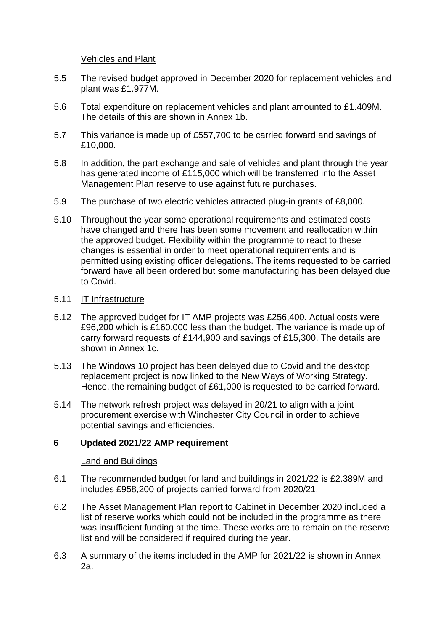#### Vehicles and Plant

- 5.5 The revised budget approved in December 2020 for replacement vehicles and plant was £1.977M.
- 5.6 Total expenditure on replacement vehicles and plant amounted to £1.409M. The details of this are shown in Annex 1b.
- 5.7 This variance is made up of £557,700 to be carried forward and savings of £10,000.
- 5.8 In addition, the part exchange and sale of vehicles and plant through the year has generated income of £115,000 which will be transferred into the Asset Management Plan reserve to use against future purchases.
- 5.9 The purchase of two electric vehicles attracted plug-in grants of £8,000.
- 5.10 Throughout the year some operational requirements and estimated costs have changed and there has been some movement and reallocation within the approved budget. Flexibility within the programme to react to these changes is essential in order to meet operational requirements and is permitted using existing officer delegations. The items requested to be carried forward have all been ordered but some manufacturing has been delayed due to Covid.

### 5.11 IT Infrastructure

- 5.12 The approved budget for IT AMP projects was £256,400. Actual costs were £96,200 which is £160,000 less than the budget. The variance is made up of carry forward requests of £144,900 and savings of £15,300. The details are shown in Annex 1c.
- 5.13 The Windows 10 project has been delayed due to Covid and the desktop replacement project is now linked to the New Ways of Working Strategy. Hence, the remaining budget of £61,000 is requested to be carried forward.
- 5.14 The network refresh project was delayed in 20/21 to align with a joint procurement exercise with Winchester City Council in order to achieve potential savings and efficiencies.

#### **6 Updated 2021/22 AMP requirement**

#### Land and Buildings

- 6.1 The recommended budget for land and buildings in 2021/22 is £2.389M and includes £958,200 of projects carried forward from 2020/21.
- 6.2 The Asset Management Plan report to Cabinet in December 2020 included a list of reserve works which could not be included in the programme as there was insufficient funding at the time. These works are to remain on the reserve list and will be considered if required during the year.
- 6.3 A summary of the items included in the AMP for 2021/22 is shown in Annex 2a.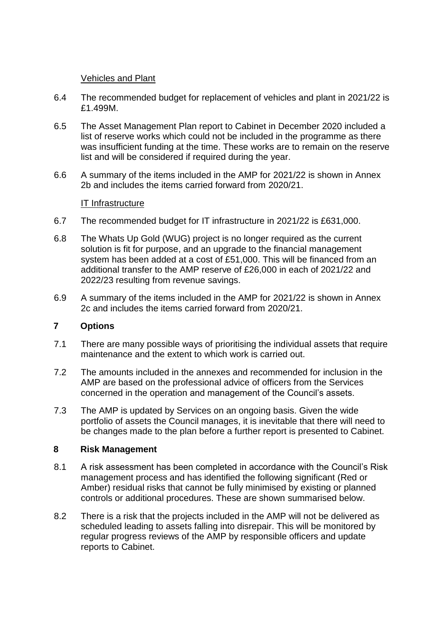#### Vehicles and Plant

- 6.4 The recommended budget for replacement of vehicles and plant in 2021/22 is £1.499M.
- 6.5 The Asset Management Plan report to Cabinet in December 2020 included a list of reserve works which could not be included in the programme as there was insufficient funding at the time. These works are to remain on the reserve list and will be considered if required during the year.
- 6.6 A summary of the items included in the AMP for 2021/22 is shown in Annex 2b and includes the items carried forward from 2020/21.

### IT Infrastructure

- 6.7 The recommended budget for IT infrastructure in 2021/22 is £631,000.
- 6.8 The Whats Up Gold (WUG) project is no longer required as the current solution is fit for purpose, and an upgrade to the financial management system has been added at a cost of £51,000. This will be financed from an additional transfer to the AMP reserve of £26,000 in each of 2021/22 and 2022/23 resulting from revenue savings.
- 6.9 A summary of the items included in the AMP for 2021/22 is shown in Annex 2c and includes the items carried forward from 2020/21.

#### **7 Options**

- 7.1 There are many possible ways of prioritising the individual assets that require maintenance and the extent to which work is carried out.
- 7.2 The amounts included in the annexes and recommended for inclusion in the AMP are based on the professional advice of officers from the Services concerned in the operation and management of the Council's assets.
- 7.3 The AMP is updated by Services on an ongoing basis. Given the wide portfolio of assets the Council manages, it is inevitable that there will need to be changes made to the plan before a further report is presented to Cabinet.

#### **8 Risk Management**

- 8.1 A risk assessment has been completed in accordance with the Council's Risk management process and has identified the following significant (Red or Amber) residual risks that cannot be fully minimised by existing or planned controls or additional procedures. These are shown summarised below.
- 8.2 There is a risk that the projects included in the AMP will not be delivered as scheduled leading to assets falling into disrepair. This will be monitored by regular progress reviews of the AMP by responsible officers and update reports to Cabinet.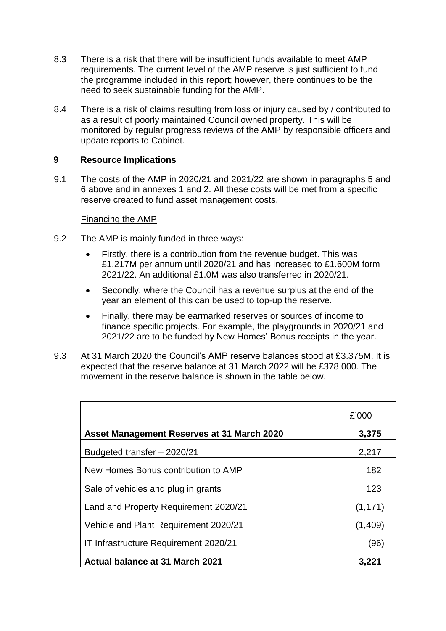- 8.3 There is a risk that there will be insufficient funds available to meet AMP requirements. The current level of the AMP reserve is just sufficient to fund the programme included in this report; however, there continues to be the need to seek sustainable funding for the AMP.
- 8.4 There is a risk of claims resulting from loss or injury caused by / contributed to as a result of poorly maintained Council owned property. This will be monitored by regular progress reviews of the AMP by responsible officers and update reports to Cabinet.

#### **9 Resource Implications**

9.1 The costs of the AMP in 2020/21 and 2021/22 are shown in paragraphs 5 and 6 above and in annexes 1 and 2. All these costs will be met from a specific reserve created to fund asset management costs.

#### Financing the AMP

- 9.2 The AMP is mainly funded in three ways:
	- Firstly, there is a contribution from the revenue budget. This was £1.217M per annum until 2020/21 and has increased to £1.600M form 2021/22. An additional £1.0M was also transferred in 2020/21.
	- Secondly, where the Council has a revenue surplus at the end of the year an element of this can be used to top-up the reserve.
	- Finally, there may be earmarked reserves or sources of income to finance specific projects. For example, the playgrounds in 2020/21 and 2021/22 are to be funded by New Homes' Bonus receipts in the year.
- 9.3 At 31 March 2020 the Council's AMP reserve balances stood at £3.375M. It is expected that the reserve balance at 31 March 2022 will be £378,000. The movement in the reserve balance is shown in the table below.

|                                            | £'000    |
|--------------------------------------------|----------|
| Asset Management Reserves at 31 March 2020 | 3,375    |
| Budgeted transfer - 2020/21                | 2,217    |
| New Homes Bonus contribution to AMP        | 182      |
| Sale of vehicles and plug in grants        | 123      |
| Land and Property Requirement 2020/21      | (1, 171) |
| Vehicle and Plant Requirement 2020/21      | (1,409)  |
| IT Infrastructure Requirement 2020/21      | (96)     |
| <b>Actual balance at 31 March 2021</b>     | 3,221    |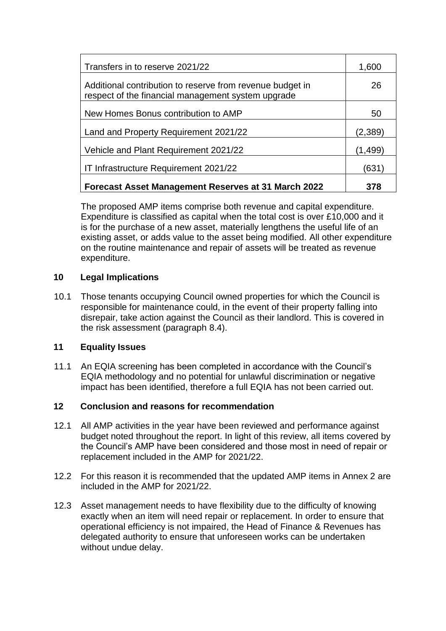| Transfers in to reserve 2021/22                                                                                 | 1,600    |
|-----------------------------------------------------------------------------------------------------------------|----------|
| Additional contribution to reserve from revenue budget in<br>respect of the financial management system upgrade | 26       |
| New Homes Bonus contribution to AMP                                                                             | 50       |
| Land and Property Requirement 2021/22                                                                           | (2,389)  |
| Vehicle and Plant Requirement 2021/22                                                                           | (1, 499) |
| IT Infrastructure Requirement 2021/22                                                                           | (631)    |
| Forecast Asset Management Reserves at 31 March 2022                                                             | 378      |

The proposed AMP items comprise both revenue and capital expenditure. Expenditure is classified as capital when the total cost is over £10,000 and it is for the purchase of a new asset, materially lengthens the useful life of an existing asset, or adds value to the asset being modified. All other expenditure on the routine maintenance and repair of assets will be treated as revenue expenditure.

## **10 Legal Implications**

10.1 Those tenants occupying Council owned properties for which the Council is responsible for maintenance could, in the event of their property falling into disrepair, take action against the Council as their landlord. This is covered in the risk assessment (paragraph 8.4).

#### **11 Equality Issues**

11.1 An EQIA screening has been completed in accordance with the Council's EQIA methodology and no potential for unlawful discrimination or negative impact has been identified, therefore a full EQIA has not been carried out.

## **12 Conclusion and reasons for recommendation**

- 12.1 All AMP activities in the year have been reviewed and performance against budget noted throughout the report. In light of this review, all items covered by the Council's AMP have been considered and those most in need of repair or replacement included in the AMP for 2021/22.
- 12.2 For this reason it is recommended that the updated AMP items in Annex 2 are included in the AMP for 2021/22.
- 12.3 Asset management needs to have flexibility due to the difficulty of knowing exactly when an item will need repair or replacement. In order to ensure that operational efficiency is not impaired, the Head of Finance & Revenues has delegated authority to ensure that unforeseen works can be undertaken without undue delay.